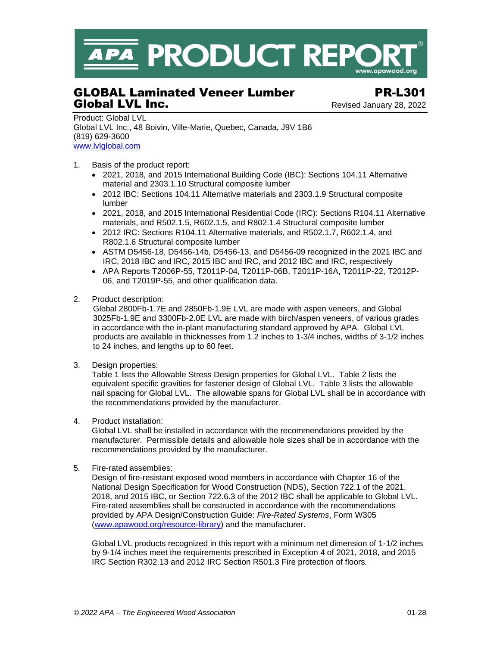

# GLOBAL Laminated Veneer Lumber PR-L301 Global LVL Inc. **Global LVL Inc. Revised January 28, 2022**

Product: Global LVL Global LVL Inc., 48 Boivin, Ville-Marie, Quebec, Canada, J9V 1B6 (819) 629-3600 [www.lvlglobal.com](http://www.lvlglobal.com/index_en.html)

- 1. Basis of the product report:
	- 2021, 2018, and 2015 International Building Code (IBC): Sections 104.11 Alternative material and 2303.1.10 Structural composite lumber
	- 2012 IBC: Sections 104.11 Alternative materials and 2303.1.9 Structural composite lumber
	- 2021, 2018, and 2015 International Residential Code (IRC): Sections R104.11 Alternative materials, and R502.1.5, R602.1.5, and R802.1.4 Structural composite lumber
	- 2012 IRC: Sections R104.11 Alternative materials, and R502.1.7, R602.1.4, and R802.1.6 Structural composite lumber
	- ASTM D5456-18, D5456-14b, D5456-13, and D5456-09 recognized in the 2021 IBC and IRC, 2018 IBC and IRC, 2015 IBC and IRC, and 2012 IBC and IRC, respectively
	- APA Reports T2006P-55, T2011P-04, T2011P-06B, T2011P-16A, T2011P-22, T2012P-06, and T2019P-55, and other qualification data.
- 2. Product description:

Global 2800Fb-1.7E and 2850Fb-1.9E LVL are made with aspen veneers, and Global 3025Fb-1.9E and 3300Fb-2.0E LVL are made with birch/aspen veneers, of various grades in accordance with the in-plant manufacturing standard approved by APA. Global LVL products are available in thicknesses from 1.2 inches to 1-3/4 inches, widths of 3-1/2 inches to 24 inches, and lengths up to 60 feet.

3. Design properties:

Table 1 lists the Allowable Stress Design properties for Global LVL. Table 2 lists the equivalent specific gravities for fastener design of Global LVL. Table 3 lists the allowable nail spacing for Global LVL. The allowable spans for Global LVL shall be in accordance with the recommendations provided by the manufacturer.

4. Product installation:

Global LVL shall be installed in accordance with the recommendations provided by the manufacturer. Permissible details and allowable hole sizes shall be in accordance with the recommendations provided by the manufacturer.

5. Fire-rated assemblies:

Design of fire-resistant exposed wood members in accordance with Chapter 16 of the National Design Specification for Wood Construction (NDS), Section 722.1 of the 2021, 2018, and 2015 IBC, or Section 722.6.3 of the 2012 IBC shall be applicable to Global LVL. Fire-rated assemblies shall be constructed in accordance with the recommendations provided by APA Design/Construction Guide: *Fire-Rated Systems*, Form W305 [\(www.apawood.org/resource-library\)](http://www.apawood.org/resource-library) and the manufacturer.

Global LVL products recognized in this report with a minimum net dimension of 1-1/2 inches by 9-1/4 inches meet the requirements prescribed in Exception 4 of 2021, 2018, and 2015 IRC Section R302.13 and 2012 IRC Section R501.3 Fire protection of floors*.*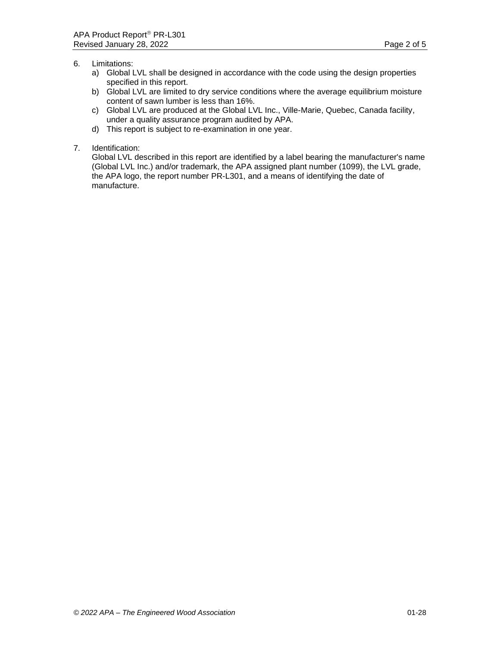- 6. Limitations:
	- a) Global LVL shall be designed in accordance with the code using the design properties specified in this report.
	- b) Global LVL are limited to dry service conditions where the average equilibrium moisture content of sawn lumber is less than 16%.
	- c) Global LVL are produced at the Global LVL Inc., Ville-Marie, Quebec, Canada facility, under a quality assurance program audited by APA.
	- d) This report is subject to re-examination in one year.
- 7. Identification:

Global LVL described in this report are identified by a label bearing the manufacturer's name (Global LVL Inc.) and/or trademark, the APA assigned plant number (1099), the LVL grade, the APA logo, the report number PR-L301, and a means of identifying the date of manufacture.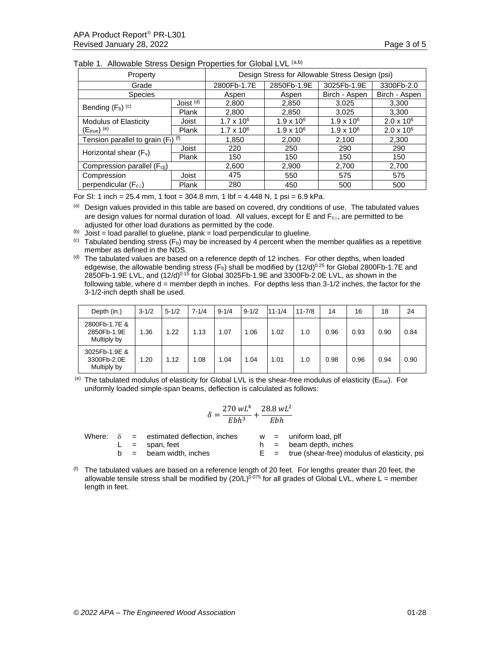| Property                                         | Design Stress for Allowable Stress Design (psi) |                     |                     |                     |                   |
|--------------------------------------------------|-------------------------------------------------|---------------------|---------------------|---------------------|-------------------|
| Grade                                            |                                                 | 2800Fb-1.7E         | 2850Fb-1.9E         | 3025Fb-1.9E         | 3300Fb-2.0        |
| <b>Species</b>                                   | Aspen                                           | Aspen               | Birch - Aspen       | Birch - Aspen       |                   |
| Bending $(F_b)$ <sup>(c)</sup>                   | Joist <sup>(d)</sup>                            | 2,800               | 2,850               | 3,025               | 3,300             |
|                                                  | Plank                                           | 2,800               | 2,850               | 3.025               | 3,300             |
| <b>Modulus of Elasticity</b>                     | Joist                                           | $1.7 \times 10^{6}$ | $1.9 \times 10^{6}$ | $1.9 \times 10^{6}$ | $2.0 \times 10^6$ |
| $(E_{true})$ <sup>(e)</sup>                      | Plank                                           | $1.7 \times 10^6$   | $1.9 \times 10^{6}$ | $1.9 \times 10^{6}$ | $2.0 \times 10^6$ |
| Tension parallel to grain $(F_t)$ <sup>(f)</sup> | 1,850                                           | 2,000               | 2,100               | 2,300               |                   |
| Horizontal shear $(F_v)$                         | Joist                                           | 220                 | 250                 | 290                 | 290               |
|                                                  | Plank                                           | 150                 | 150                 | 150                 | 150               |
| Compression parallel (F <sub>cll</sub> )         |                                                 | 2,600               | 2,900               | 2,700               | 2,700             |
| Compression                                      | Joist                                           | 475                 | 550                 | 575                 | 575               |
| perpendicular (FcL)                              | Plank                                           | 280                 | 450                 | 500                 | 500               |

| Table 1. Allowable Stress Design Properties for Global LVL (a,b) |
|------------------------------------------------------------------|
|------------------------------------------------------------------|

For SI: 1 inch = 25.4 mm, 1 foot = 304.8 mm, 1 lbf = 4.448 N, 1 psi = 6.9 kPa.

(a) Design values provided in this table are based on covered, dry conditions of use. The tabulated values are design values for normal duration of load. All values, except for E and F<sub>c⊥</sub>, are permitted to be adjusted for other load durations as permitted by the code.

 $(b)$  Joist = load parallel to glueline, plank = load perpendicular to glueline.

 $^{(c)}$  Tabulated bending stress (F<sub>b</sub>) may be increased by 4 percent when the member qualifies as a repetitive member as defined in the NDS.

 $<sup>(d)</sup>$  The tabulated values are based on a reference depth of 12 inches. For other depths, when loaded</sup> edgewise, the allowable bending stress  $(F_b)$  shall be modified by  $(12/d)^{0.25}$  for Global 2800Fb-1.7E and 2850Fb-1.9E LVL, and (12/d)0.15 for Global 3025Fb-1.9E and 3300Fb-2.0E LVL, as shown in the following table, where  $d =$  member depth in inches. For depths less than 3-1/2 inches, the factor for the 3-1/2-inch depth shall be used.

| Depth (in.)                                 | $3 - 1/2$ | $5 - 1/2$ | $7 - 1/4$ | $9 - 1/4$ | $9 - 1/2$ | $11 - 1/4$ | $11 - 7/8$ | 14   | 16   | 18   | 24   |
|---------------------------------------------|-----------|-----------|-----------|-----------|-----------|------------|------------|------|------|------|------|
| 2800Fb-1.7E &<br>2850Fb-1.9E<br>Multiply by | 1.36      | 1.22      | 1.13      | 1.07      | .06       | 1.02       | 1.0        | 0.96 | 0.93 | 0.90 | 0.84 |
| 3025Fb-1.9E &<br>3300Fb-2.0E<br>Multiply by | 1.20      | 1.12      | 1.08      | 1.04      | 0.04      | 1.01       | 1.0        | 0.98 | 0.96 | 0.94 | 0.90 |

(e) The tabulated modulus of elasticity for Global LVL is the shear-free modulus of elasticity ( $E_{true}$ ). For uniformly loaded simple-span beams, deflection is calculated as follows:

$$
\delta=\frac{270\,wL^4}{Ebh^3}+\frac{28.8\,wL^2}{Ebh}
$$

|  | Where: $\delta$ = estimated deflection, inches |  | $w =$ uniform load, plf                            |
|--|------------------------------------------------|--|----------------------------------------------------|
|  | $L =$ span. feet                               |  | $h =$ beam depth, inches                           |
|  | $b =$ beam width, inches                       |  | $E = true$ (shear-free) modulus of elasticity, psi |
|  |                                                |  |                                                    |

 $<sup>(f)</sup>$  The tabulated values are based on a reference length of 20 feet. For lengths greater than 20 feet, the</sup> allowable tensile stress shall be modified by  $(20/L)^{0.075}$  for all grades of Global LVL, where L = member length in feet.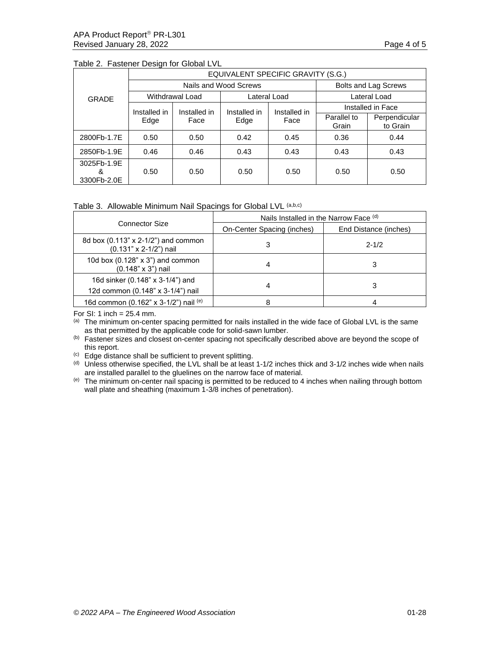|                                 | EQUIVALENT SPECIFIC GRAVITY (S.G.) |                        |                             |                      |                      |                           |  |  |
|---------------------------------|------------------------------------|------------------------|-----------------------------|----------------------|----------------------|---------------------------|--|--|
| <b>GRADE</b>                    |                                    | Nails and Wood Screws  | <b>Bolts and Lag Screws</b> |                      |                      |                           |  |  |
|                                 |                                    | <b>Withdrawal Load</b> |                             | Lateral Load         | Lateral Load         |                           |  |  |
|                                 | Installed in                       | Installed in           | Installed in<br>Edge        | Installed in<br>Face | Installed in Face    |                           |  |  |
|                                 | Edge                               | Face                   |                             |                      | Parallel to<br>Grain | Perpendicular<br>to Grain |  |  |
| 2800Fb-1.7E                     | 0.50                               | 0.50                   | 0.42                        | 0.45                 | 0.36                 | 0.44                      |  |  |
| 2850Fb-1.9E                     | 0.46                               | 0.46                   | 0.43                        | 0.43                 | 0.43                 | 0.43                      |  |  |
| 3025Fb-1.9E<br>&<br>3300Fb-2.0E | 0.50                               | 0.50                   | 0.50                        | 0.50                 | 0.50                 | 0.50                      |  |  |

### Table 2. Fastener Design for Global LVL

## Table 3. Allowable Minimum Nail Spacings for Global LVL (a,b,c)

|                                                                       | Nails Installed in the Narrow Face (d) |                       |  |  |  |
|-----------------------------------------------------------------------|----------------------------------------|-----------------------|--|--|--|
| <b>Connector Size</b>                                                 | On-Center Spacing (inches)             | End Distance (inches) |  |  |  |
| 8d box (0.113" x 2-1/2") and common<br>(0.131" x 2-1/2") nail         |                                        | $2 - 1/2$             |  |  |  |
| 10d box $(0.128" \times 3")$ and common<br>$(0.148" \times 3")$ nail  |                                        |                       |  |  |  |
| 16d sinker (0.148" x 3-1/4") and<br>12d common (0.148" x 3-1/4") nail |                                        | 3                     |  |  |  |
| 16d common (0.162" x 3-1/2") nail $(e)$                               |                                        |                       |  |  |  |

For SI: 1 inch = 25.4 mm.

(a) The minimum on-center spacing permitted for nails installed in the wide face of Global LVL is the same as that permitted by the applicable code for solid-sawn lumber.

(b) Fastener sizes and closest on-center spacing not specifically described above are beyond the scope of this report.

(c) Edge distance shall be sufficient to prevent splitting.

(d) Unless otherwise specified, the LVL shall be at least 1-1/2 inches thick and 3-1/2 inches wide when nails are installed parallel to the gluelines on the narrow face of material.

(e) The minimum on-center nail spacing is permitted to be reduced to 4 inches when nailing through bottom wall plate and sheathing (maximum 1-3/8 inches of penetration).